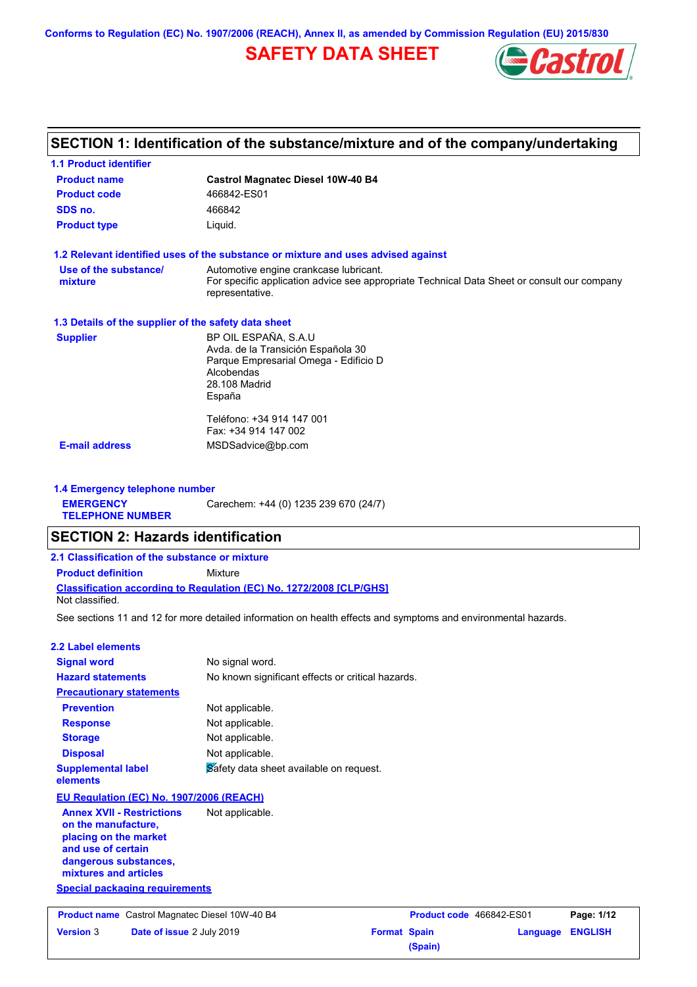**Conforms to Regulation (EC) No. 1907/2006 (REACH), Annex II, as amended by Commission Regulation (EU) 2015/830**

# **SAFETY DATA SHEET**



# **SECTION 1: Identification of the substance/mixture and of the company/undertaking**

| <b>1.1 Product identifier</b>                                        |                                                                                                                |
|----------------------------------------------------------------------|----------------------------------------------------------------------------------------------------------------|
| <b>Product name</b>                                                  | <b>Castrol Magnatec Diesel 10W-40 B4</b>                                                                       |
| <b>Product code</b>                                                  | 466842-ES01                                                                                                    |
| SDS no.                                                              | 466842                                                                                                         |
| <b>Product type</b>                                                  | Liquid.                                                                                                        |
|                                                                      | 1.2 Relevant identified uses of the substance or mixture and uses advised against                              |
| Use of the substance/                                                | Automotive engine crankcase lubricant.                                                                         |
| mixture                                                              | For specific application advice see appropriate Technical Data Sheet or consult our company<br>representative. |
| 1.3 Details of the supplier of the safety data sheet                 |                                                                                                                |
| <b>Supplier</b>                                                      | BP OIL ESPAÑA, S.A.U                                                                                           |
|                                                                      | Avda. de la Transición Española 30<br>Parque Empresarial Omega - Edificio D                                    |
|                                                                      | Alcobendas                                                                                                     |
|                                                                      | 28.108 Madrid                                                                                                  |
|                                                                      | España                                                                                                         |
|                                                                      | Teléfono: +34 914 147 001                                                                                      |
|                                                                      | Fax: +34 914 147 002                                                                                           |
| <b>E-mail address</b>                                                | MSDSadvice@bp.com                                                                                              |
| at the figure is a construction of the self-construction of the con- |                                                                                                                |

**1.4 Emergency telephone number EMERGENCY TELEPHONE NUMBER** Carechem: +44 (0) 1235 239 670 (24/7)

## **SECTION 2: Hazards identification**

**Classification according to Regulation (EC) No. 1272/2008 [CLP/GHS] 2.1 Classification of the substance or mixture Product definition** Mixture Not classified.

See sections 11 and 12 for more detailed information on health effects and symptoms and environmental hazards.

#### **2.2 Label elements**

| <b>Signal word</b>                    | No signal word.                                   |
|---------------------------------------|---------------------------------------------------|
| <b>Hazard statements</b>              | No known significant effects or critical hazards. |
| <b>Precautionary statements</b>       |                                                   |
| <b>Prevention</b>                     | Not applicable.                                   |
| <b>Response</b>                       | Not applicable.                                   |
| <b>Storage</b>                        | Not applicable.                                   |
| <b>Disposal</b>                       | Not applicable.                                   |
| <b>Supplemental label</b><br>elements | Safety data sheet available on request.           |

#### **EU Regulation (EC) No. 1907/2006 (REACH)**

**Annex XVII - Restrictions on the manufacture, placing on the market and use of certain dangerous substances, mixtures and articles** Not applicable.

## **Special packaging requirements**

**Version** 3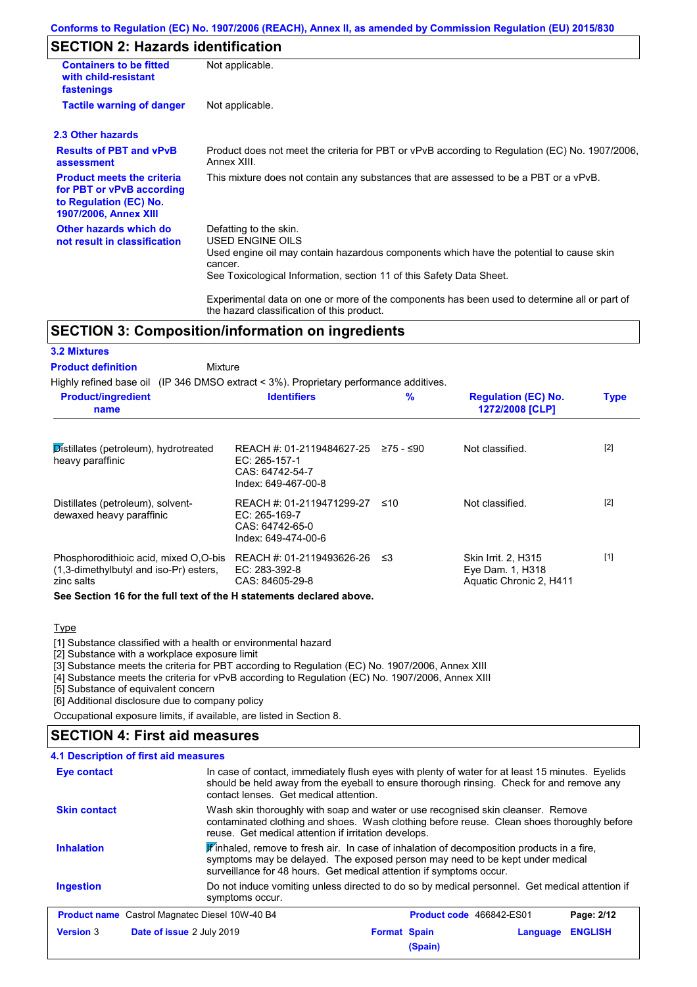#### **Conforms to Regulation (EC) No. 1907/2006 (REACH), Annex II, as amended by Commission Regulation (EU) 2015/830**

## **SECTION 2: Hazards identification**

| <b>Containers to be fitted</b><br>with child-resistant<br>fastenings                                                     | Not applicable.                                                                                                                                                                                                                 |
|--------------------------------------------------------------------------------------------------------------------------|---------------------------------------------------------------------------------------------------------------------------------------------------------------------------------------------------------------------------------|
| <b>Tactile warning of danger</b>                                                                                         | Not applicable.                                                                                                                                                                                                                 |
| 2.3 Other hazards                                                                                                        |                                                                                                                                                                                                                                 |
| <b>Results of PBT and vPvB</b><br>assessment                                                                             | Product does not meet the criteria for PBT or vPvB according to Regulation (EC) No. 1907/2006,<br>Annex XIII.                                                                                                                   |
| <b>Product meets the criteria</b><br>for PBT or vPvB according<br>to Regulation (EC) No.<br><b>1907/2006, Annex XIII</b> | This mixture does not contain any substances that are assessed to be a PBT or a vPvB.                                                                                                                                           |
| Other hazards which do<br>not result in classification                                                                   | Defatting to the skin.<br><b>USED ENGINE OILS</b><br>Used engine oil may contain hazardous components which have the potential to cause skin<br>cancer.<br>See Toxicological Information, section 11 of this Safety Data Sheet. |
|                                                                                                                          | Experimental data on one or more of the components has been used to determine all or part of<br>the hazard classification of this product.                                                                                      |

## **SECTION 3: Composition/information on ingredients**

| <b>3.2 Mixtures</b>                                                                           |                                                                                      |           |                                                                           |             |
|-----------------------------------------------------------------------------------------------|--------------------------------------------------------------------------------------|-----------|---------------------------------------------------------------------------|-------------|
| <b>Product definition</b><br>Mixture                                                          |                                                                                      |           |                                                                           |             |
| Highly refined base oil (IP 346 DMSO extract $\lt$ 3%). Proprietary performance additives.    |                                                                                      |           |                                                                           |             |
| <b>Product/ingredient</b><br>name                                                             | <b>Identifiers</b>                                                                   | $\%$      | <b>Regulation (EC) No.</b><br>1272/2008 [CLP]                             | <b>Type</b> |
| Distillates (petroleum), hydrotreated<br>heavy paraffinic                                     | REACH #: 01-2119484627-25<br>EC: 265-157-1<br>CAS: 64742-54-7<br>Index: 649-467-00-8 | 275 - ≤90 | Not classified.                                                           | $[2]$       |
| Distillates (petroleum), solvent-<br>dewaxed heavy paraffinic                                 | REACH #: 01-2119471299-27<br>EC: 265-169-7<br>CAS: 64742-65-0<br>Index: 649-474-00-6 | ≤10       | Not classified.                                                           | $[2]$       |
| Phosphorodithioic acid, mixed O.O-bis<br>(1,3-dimethylbutyl and iso-Pr) esters,<br>zinc salts | REACH #: 01-2119493626-26<br>EC: 283-392-8<br>CAS: 84605-29-8                        | ≲3        | <b>Skin Irrit. 2. H315</b><br>Eye Dam. 1, H318<br>Aquatic Chronic 2, H411 | $[1]$       |
| See Section 16 for the full text of the H statements declared above.                          |                                                                                      |           |                                                                           |             |

#### **Type**

[1] Substance classified with a health or environmental hazard

[2] Substance with a workplace exposure limit

[3] Substance meets the criteria for PBT according to Regulation (EC) No. 1907/2006, Annex XIII

[4] Substance meets the criteria for vPvB according to Regulation (EC) No. 1907/2006, Annex XIII

[5] Substance of equivalent concern

[6] Additional disclosure due to company policy

Occupational exposure limits, if available, are listed in Section 8.

### **SECTION 4: First aid measures**

|                     | 4.1 Description of first aid measures                                                                                                                                                                                                                         |
|---------------------|---------------------------------------------------------------------------------------------------------------------------------------------------------------------------------------------------------------------------------------------------------------|
| Eye contact         | In case of contact, immediately flush eyes with plenty of water for at least 15 minutes. Eyelids<br>should be held away from the eyeball to ensure thorough rinsing. Check for and remove any<br>contact lenses. Get medical attention.                       |
| <b>Skin contact</b> | Wash skin thoroughly with soap and water or use recognised skin cleanser. Remove<br>contaminated clothing and shoes. Wash clothing before reuse. Clean shoes thoroughly before<br>reuse. Get medical attention if irritation develops.                        |
| <b>Inhalation</b>   | $\mathbf{F}$ inhaled, remove to fresh air. In case of inhalation of decomposition products in a fire,<br>symptoms may be delayed. The exposed person may need to be kept under medical<br>surveillance for 48 hours. Get medical attention if symptoms occur. |
| <b>Ingestion</b>    | Do not induce vomiting unless directed to do so by medical personnel. Get medical attention if<br>symptoms occur.                                                                                                                                             |
|                     | <b>Product name</b> Castrol Magnatec Diesel 10W-40 B4<br>Page: 2/12<br><b>Product code</b> 466842-ES01                                                                                                                                                        |
| <b>Version 3</b>    | <b>ENGLISH</b><br>Date of issue 2 July 2019<br><b>Format Spain</b><br>Language<br>(Spain)                                                                                                                                                                     |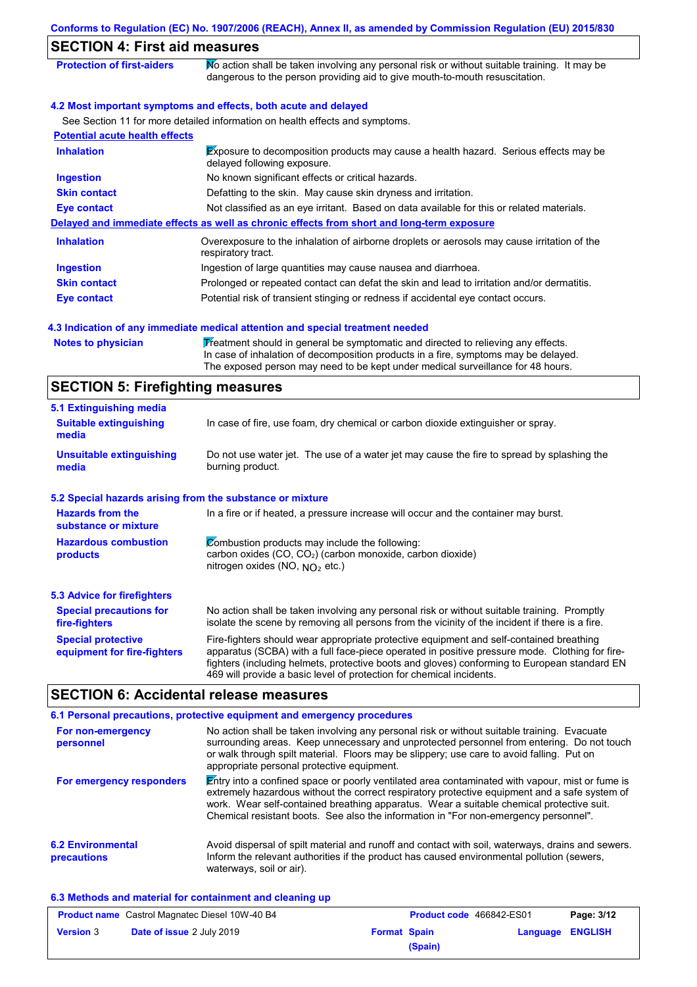| <b>SECTION 4: First aid measures</b>                              |                                                                                                                                                                                                                                                                                           |  |  |  |  |
|-------------------------------------------------------------------|-------------------------------------------------------------------------------------------------------------------------------------------------------------------------------------------------------------------------------------------------------------------------------------------|--|--|--|--|
| <b>Protection of first-aiders</b>                                 | No action shall be taken involving any personal risk or without suitable training. It may be<br>dangerous to the person providing aid to give mouth-to-mouth resuscitation.                                                                                                               |  |  |  |  |
|                                                                   | 4.2 Most important symptoms and effects, both acute and delayed                                                                                                                                                                                                                           |  |  |  |  |
|                                                                   | See Section 11 for more detailed information on health effects and symptoms.                                                                                                                                                                                                              |  |  |  |  |
| <b>Potential acute health effects</b>                             |                                                                                                                                                                                                                                                                                           |  |  |  |  |
| <b>Inhalation</b>                                                 | Exposure to decomposition products may cause a health hazard. Serious effects may be<br>delayed following exposure.                                                                                                                                                                       |  |  |  |  |
| <b>Ingestion</b>                                                  | No known significant effects or critical hazards.                                                                                                                                                                                                                                         |  |  |  |  |
| <b>Skin contact</b>                                               | Defatting to the skin. May cause skin dryness and irritation.                                                                                                                                                                                                                             |  |  |  |  |
| <b>Eye contact</b>                                                | Not classified as an eye irritant. Based on data available for this or related materials.                                                                                                                                                                                                 |  |  |  |  |
|                                                                   | Delayed and immediate effects as well as chronic effects from short and long-term exposure                                                                                                                                                                                                |  |  |  |  |
| <b>Inhalation</b>                                                 | Overexposure to the inhalation of airborne droplets or aerosols may cause irritation of the<br>respiratory tract.                                                                                                                                                                         |  |  |  |  |
| <b>Ingestion</b>                                                  | Ingestion of large quantities may cause nausea and diarrhoea.                                                                                                                                                                                                                             |  |  |  |  |
| <b>Skin contact</b>                                               | Prolonged or repeated contact can defat the skin and lead to irritation and/or dermatitis.                                                                                                                                                                                                |  |  |  |  |
| <b>Eye contact</b>                                                | Potential risk of transient stinging or redness if accidental eye contact occurs.                                                                                                                                                                                                         |  |  |  |  |
| <b>SECTION 5: Firefighting measures</b>                           | The exposed person may need to be kept under medical surveillance for 48 hours.                                                                                                                                                                                                           |  |  |  |  |
|                                                                   |                                                                                                                                                                                                                                                                                           |  |  |  |  |
| 5.1 Extinguishing media<br><b>Suitable extinguishing</b><br>media | In case of fire, use foam, dry chemical or carbon dioxide extinguisher or spray.                                                                                                                                                                                                          |  |  |  |  |
| <b>Unsuitable extinguishing</b><br>media                          | Do not use water jet. The use of a water jet may cause the fire to spread by splashing the<br>burning product.                                                                                                                                                                            |  |  |  |  |
| 5.2 Special hazards arising from the substance or mixture         |                                                                                                                                                                                                                                                                                           |  |  |  |  |
| <b>Hazards from the</b><br>substance or mixture                   | In a fire or if heated, a pressure increase will occur and the container may burst.                                                                                                                                                                                                       |  |  |  |  |
| <b>Hazardous combustion</b><br>products                           | Combustion products may include the following:<br>carbon oxides (CO, CO <sub>2</sub> ) (carbon monoxide, carbon dioxide)<br>nitrogen oxides (NO, NO <sub>2</sub> etc.)                                                                                                                    |  |  |  |  |
| <b>5.3 Advice for firefighters</b>                                |                                                                                                                                                                                                                                                                                           |  |  |  |  |
| <b>Special precautions for</b><br>fire-fighters                   | No action shall be taken involving any personal risk or without suitable training. Promptly<br>isolate the scene by removing all persons from the vicinity of the incident if there is a fire.                                                                                            |  |  |  |  |
| <b>Special protective</b><br>equipment for fire-fighters          | Fire-fighters should wear appropriate protective equipment and self-contained breathing<br>apparatus (SCBA) with a full face-piece operated in positive pressure mode. Clothing for fire-<br>fighters (including helmets, protective boots and gloves) conforming to European standard EN |  |  |  |  |

## **SECTION 6: Accidental release measures**

|                                         | 6.1 Personal precautions, protective equipment and emergency procedures                                                                                                                                                                                                                                                                                                              |
|-----------------------------------------|--------------------------------------------------------------------------------------------------------------------------------------------------------------------------------------------------------------------------------------------------------------------------------------------------------------------------------------------------------------------------------------|
| For non-emergency<br>personnel          | No action shall be taken involving any personal risk or without suitable training. Evacuate<br>surrounding areas. Keep unnecessary and unprotected personnel from entering. Do not touch<br>or walk through spilt material. Floors may be slippery; use care to avoid falling. Put on<br>appropriate personal protective equipment.                                                  |
| For emergency responders                | Entry into a confined space or poorly ventilated area contaminated with vapour, mist or fume is<br>extremely hazardous without the correct respiratory protective equipment and a safe system of<br>work. Wear self-contained breathing apparatus. Wear a suitable chemical protective suit.<br>Chemical resistant boots. See also the information in "For non-emergency personnel". |
| <b>6.2 Environmental</b><br>precautions | Avoid dispersal of spilt material and runoff and contact with soil, waterways, drains and sewers.<br>Inform the relevant authorities if the product has caused environmental pollution (sewers,<br>waterways, soil or air).                                                                                                                                                          |

469 will provide a basic level of protection for chemical incidents.

#### **6.3 Methods and material for containment and cleaning up**

| <b>Product name</b> Castrol Magnatec Diesel 10W-40 B4 |                                  | <b>Product code</b> 466842-ES01 |         | Page: 3/12 |                |
|-------------------------------------------------------|----------------------------------|---------------------------------|---------|------------|----------------|
| <b>Version 3</b>                                      | <b>Date of issue 2 July 2019</b> | <b>Format Spain</b>             |         | Language   | <b>ENGLISH</b> |
|                                                       |                                  |                                 | (Spain) |            |                |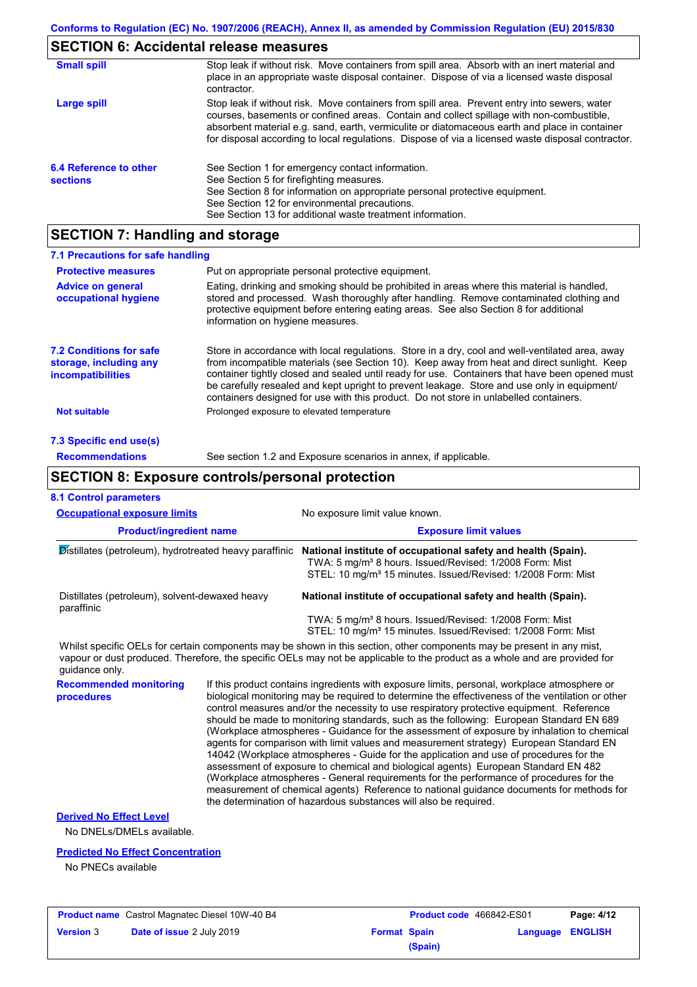## **SECTION 6: Accidental release measures**

| <b>Small spill</b>                        | Stop leak if without risk. Move containers from spill area. Absorb with an inert material and<br>place in an appropriate waste disposal container. Dispose of via a licensed waste disposal<br>contractor.                                                                                                                                                                                     |
|-------------------------------------------|------------------------------------------------------------------------------------------------------------------------------------------------------------------------------------------------------------------------------------------------------------------------------------------------------------------------------------------------------------------------------------------------|
| Large spill                               | Stop leak if without risk. Move containers from spill area. Prevent entry into sewers, water<br>courses, basements or confined areas. Contain and collect spillage with non-combustible,<br>absorbent material e.g. sand, earth, vermiculite or diatomaceous earth and place in container<br>for disposal according to local regulations. Dispose of via a licensed waste disposal contractor. |
| 6.4 Reference to other<br><b>sections</b> | See Section 1 for emergency contact information.<br>See Section 5 for firefighting measures.<br>See Section 8 for information on appropriate personal protective equipment.<br>See Section 12 for environmental precautions.<br>See Section 13 for additional waste treatment information.                                                                                                     |

## **SECTION 7: Handling and storage**

| 7.1 Precautions for safe handling                                                    |                                                                                                                                                                                                                                                                                                                                                                                                                                                                                          |  |  |
|--------------------------------------------------------------------------------------|------------------------------------------------------------------------------------------------------------------------------------------------------------------------------------------------------------------------------------------------------------------------------------------------------------------------------------------------------------------------------------------------------------------------------------------------------------------------------------------|--|--|
| <b>Protective measures</b>                                                           | Put on appropriate personal protective equipment.                                                                                                                                                                                                                                                                                                                                                                                                                                        |  |  |
| <b>Advice on general</b><br>occupational hygiene                                     | Eating, drinking and smoking should be prohibited in areas where this material is handled,<br>stored and processed. Wash thoroughly after handling. Remove contaminated clothing and<br>protective equipment before entering eating areas. See also Section 8 for additional<br>information on hygiene measures.                                                                                                                                                                         |  |  |
| <b>7.2 Conditions for safe</b><br>storage, including any<br><i>incompatibilities</i> | Store in accordance with local regulations. Store in a dry, cool and well-ventilated area, away<br>from incompatible materials (see Section 10). Keep away from heat and direct sunlight. Keep<br>container tightly closed and sealed until ready for use. Containers that have been opened must<br>be carefully resealed and kept upright to prevent leakage. Store and use only in equipment/<br>containers designed for use with this product. Do not store in unlabelled containers. |  |  |
| <b>Not suitable</b>                                                                  | Prolonged exposure to elevated temperature                                                                                                                                                                                                                                                                                                                                                                                                                                               |  |  |
| 7.3 Specific end use(s)                                                              |                                                                                                                                                                                                                                                                                                                                                                                                                                                                                          |  |  |
| <b>Recommendations</b>                                                               | See section 1.2 and Exposure scenarios in annex, if applicable.                                                                                                                                                                                                                                                                                                                                                                                                                          |  |  |
|                                                                                      | <b>SECTION 8: Exposure controls/personal protection</b>                                                                                                                                                                                                                                                                                                                                                                                                                                  |  |  |
| <b>8.1 Control parameters</b>                                                        |                                                                                                                                                                                                                                                                                                                                                                                                                                                                                          |  |  |
| <b>Occupational exposure limits</b>                                                  | No exposure limit value known.                                                                                                                                                                                                                                                                                                                                                                                                                                                           |  |  |
| <b>Product/ingredient name</b>                                                       | <b>Exposure limit values</b>                                                                                                                                                                                                                                                                                                                                                                                                                                                             |  |  |

| Distillates (petroleum), hydrotreated heavy paraffinic       | National institute of occupational safety and health (Spain).<br>TWA: 5 mg/m <sup>3</sup> 8 hours. Issued/Revised: 1/2008 Form: Mist<br>STEL: 10 mg/m <sup>3</sup> 15 minutes. Issued/Revised: 1/2008 Form: Mist |
|--------------------------------------------------------------|------------------------------------------------------------------------------------------------------------------------------------------------------------------------------------------------------------------|
| Distillates (petroleum), solvent-dewaxed heavy<br>paraffinic | National institute of occupational safety and health (Spain).                                                                                                                                                    |
|                                                              | TWA: 5 mg/m <sup>3</sup> 8 hours. Issued/Revised: 1/2008 Form: Mist<br>STEL: 10 mg/m <sup>3</sup> 15 minutes. Issued/Revised: 1/2008 Form: Mist                                                                  |
|                                                              | Whilst specific OFI s for certain components may be shown in this section other components may be present in any mist                                                                                            |

mponents may be shown in this section, other components may be present in any mist, vapour or dust produced. Therefore, the specific OELs may not be applicable to the product as a whole and are provided for guidance only.

**Recommended monitoring procedures** If this product contains ingredients with exposure limits, personal, workplace atmosphere or biological monitoring may be required to determine the effectiveness of the ventilation or other control measures and/or the necessity to use respiratory protective equipment. Reference should be made to monitoring standards, such as the following: European Standard EN 689 (Workplace atmospheres - Guidance for the assessment of exposure by inhalation to chemical agents for comparison with limit values and measurement strategy) European Standard EN 14042 (Workplace atmospheres - Guide for the application and use of procedures for the assessment of exposure to chemical and biological agents) European Standard EN 482 (Workplace atmospheres - General requirements for the performance of procedures for the measurement of chemical agents) Reference to national guidance documents for methods for the determination of hazardous substances will also be required.

## **Derived No Effect Level**

No DNELs/DMELs available.

#### **Predicted No Effect Concentration**

No PNECs available

| <b>Product name</b> Castrol Magnatec Diesel 10W-40 B4 |                                  | Product code 466842-ES01 |         | Page: 4/12              |  |
|-------------------------------------------------------|----------------------------------|--------------------------|---------|-------------------------|--|
| <b>Version</b> 3                                      | <b>Date of issue 2 July 2019</b> | <b>Format Spain</b>      |         | <b>Language ENGLISH</b> |  |
|                                                       |                                  |                          | (Spain) |                         |  |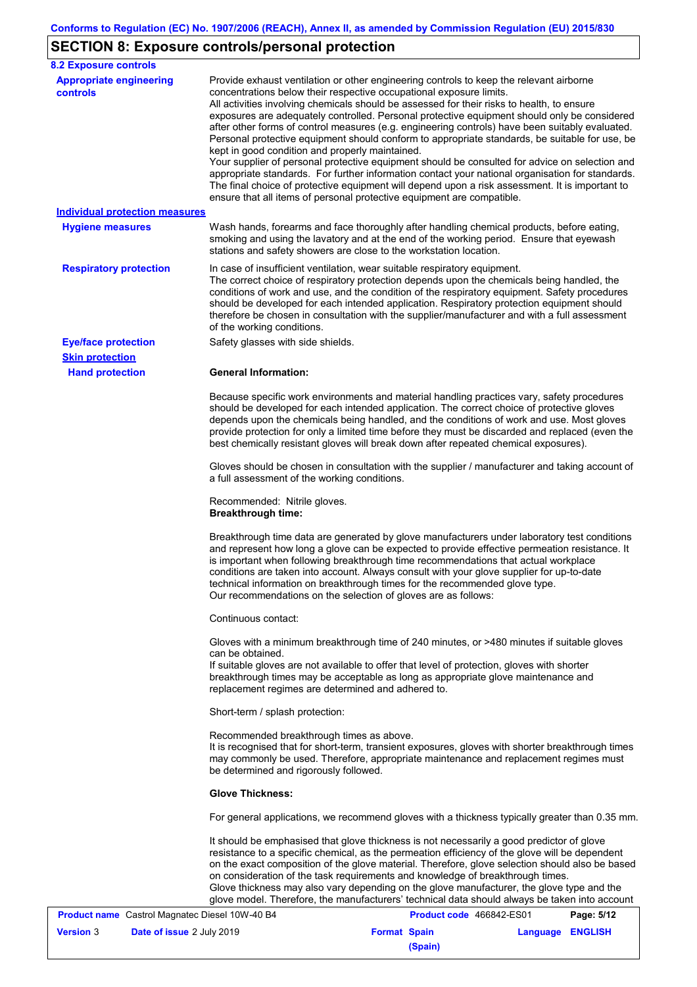# **SECTION 8: Exposure controls/personal protection**

| <b>8.2 Exposure controls</b>                   |                                                                                                                                                                                                                                                                                                                                                                                                                                                                                                                                                                                                                                                                                                                                                                                                                                                                                                                                                                                                         |
|------------------------------------------------|---------------------------------------------------------------------------------------------------------------------------------------------------------------------------------------------------------------------------------------------------------------------------------------------------------------------------------------------------------------------------------------------------------------------------------------------------------------------------------------------------------------------------------------------------------------------------------------------------------------------------------------------------------------------------------------------------------------------------------------------------------------------------------------------------------------------------------------------------------------------------------------------------------------------------------------------------------------------------------------------------------|
| <b>Appropriate engineering</b><br>controls     | Provide exhaust ventilation or other engineering controls to keep the relevant airborne<br>concentrations below their respective occupational exposure limits.<br>All activities involving chemicals should be assessed for their risks to health, to ensure<br>exposures are adequately controlled. Personal protective equipment should only be considered<br>after other forms of control measures (e.g. engineering controls) have been suitably evaluated.<br>Personal protective equipment should conform to appropriate standards, be suitable for use, be<br>kept in good condition and properly maintained.<br>Your supplier of personal protective equipment should be consulted for advice on selection and<br>appropriate standards. For further information contact your national organisation for standards.<br>The final choice of protective equipment will depend upon a risk assessment. It is important to<br>ensure that all items of personal protective equipment are compatible. |
| <b>Individual protection measures</b>          |                                                                                                                                                                                                                                                                                                                                                                                                                                                                                                                                                                                                                                                                                                                                                                                                                                                                                                                                                                                                         |
| <b>Hygiene measures</b>                        | Wash hands, forearms and face thoroughly after handling chemical products, before eating,<br>smoking and using the lavatory and at the end of the working period. Ensure that eyewash<br>stations and safety showers are close to the workstation location.                                                                                                                                                                                                                                                                                                                                                                                                                                                                                                                                                                                                                                                                                                                                             |
| <b>Respiratory protection</b>                  | In case of insufficient ventilation, wear suitable respiratory equipment.<br>The correct choice of respiratory protection depends upon the chemicals being handled, the<br>conditions of work and use, and the condition of the respiratory equipment. Safety procedures<br>should be developed for each intended application. Respiratory protection equipment should<br>therefore be chosen in consultation with the supplier/manufacturer and with a full assessment<br>of the working conditions.                                                                                                                                                                                                                                                                                                                                                                                                                                                                                                   |
| <b>Eye/face protection</b>                     | Safety glasses with side shields.                                                                                                                                                                                                                                                                                                                                                                                                                                                                                                                                                                                                                                                                                                                                                                                                                                                                                                                                                                       |
| <b>Skin protection</b>                         |                                                                                                                                                                                                                                                                                                                                                                                                                                                                                                                                                                                                                                                                                                                                                                                                                                                                                                                                                                                                         |
| <b>Hand protection</b>                         | <b>General Information:</b><br>Because specific work environments and material handling practices vary, safety procedures<br>should be developed for each intended application. The correct choice of protective gloves<br>depends upon the chemicals being handled, and the conditions of work and use. Most gloves<br>provide protection for only a limited time before they must be discarded and replaced (even the<br>best chemically resistant gloves will break down after repeated chemical exposures).                                                                                                                                                                                                                                                                                                                                                                                                                                                                                         |
|                                                | Gloves should be chosen in consultation with the supplier / manufacturer and taking account of<br>a full assessment of the working conditions.                                                                                                                                                                                                                                                                                                                                                                                                                                                                                                                                                                                                                                                                                                                                                                                                                                                          |
|                                                | Recommended: Nitrile gloves.<br><b>Breakthrough time:</b>                                                                                                                                                                                                                                                                                                                                                                                                                                                                                                                                                                                                                                                                                                                                                                                                                                                                                                                                               |
|                                                | Breakthrough time data are generated by glove manufacturers under laboratory test conditions<br>and represent how long a glove can be expected to provide effective permeation resistance. It<br>is important when following breakthrough time recommendations that actual workplace<br>conditions are taken into account. Always consult with your glove supplier for up-to-date<br>technical information on breakthrough times for the recommended glove type.<br>Our recommendations on the selection of gloves are as follows:                                                                                                                                                                                                                                                                                                                                                                                                                                                                      |
|                                                | Continuous contact:                                                                                                                                                                                                                                                                                                                                                                                                                                                                                                                                                                                                                                                                                                                                                                                                                                                                                                                                                                                     |
|                                                | Gloves with a minimum breakthrough time of 240 minutes, or >480 minutes if suitable gloves<br>can be obtained.<br>If suitable gloves are not available to offer that level of protection, gloves with shorter<br>breakthrough times may be acceptable as long as appropriate glove maintenance and<br>replacement regimes are determined and adhered to.                                                                                                                                                                                                                                                                                                                                                                                                                                                                                                                                                                                                                                                |
|                                                | Short-term / splash protection:                                                                                                                                                                                                                                                                                                                                                                                                                                                                                                                                                                                                                                                                                                                                                                                                                                                                                                                                                                         |
|                                                | Recommended breakthrough times as above.<br>It is recognised that for short-term, transient exposures, gloves with shorter breakthrough times<br>may commonly be used. Therefore, appropriate maintenance and replacement regimes must<br>be determined and rigorously followed.                                                                                                                                                                                                                                                                                                                                                                                                                                                                                                                                                                                                                                                                                                                        |
|                                                | <b>Glove Thickness:</b>                                                                                                                                                                                                                                                                                                                                                                                                                                                                                                                                                                                                                                                                                                                                                                                                                                                                                                                                                                                 |
|                                                | For general applications, we recommend gloves with a thickness typically greater than 0.35 mm.                                                                                                                                                                                                                                                                                                                                                                                                                                                                                                                                                                                                                                                                                                                                                                                                                                                                                                          |
|                                                | It should be emphasised that glove thickness is not necessarily a good predictor of glove<br>resistance to a specific chemical, as the permeation efficiency of the glove will be dependent<br>on the exact composition of the glove material. Therefore, glove selection should also be based<br>on consideration of the task requirements and knowledge of breakthrough times.<br>Glove thickness may also vary depending on the glove manufacturer, the glove type and the<br>glove model. Therefore, the manufacturers' technical data should always be taken into account                                                                                                                                                                                                                                                                                                                                                                                                                          |
| Product name Castrol Magnatec Diesel 10W-40 B4 | Product code 466842-ES01<br>Page: 5/12                                                                                                                                                                                                                                                                                                                                                                                                                                                                                                                                                                                                                                                                                                                                                                                                                                                                                                                                                                  |

|                  | <b>Product name</b> Castrol Magnatec Diesel 10W-40 B4 |                     | Product code 466842-ES01 | Page: 5/12       |
|------------------|-------------------------------------------------------|---------------------|--------------------------|------------------|
| <b>Version</b> 3 | <b>Date of issue 2 July 2019</b>                      | <b>Format Spain</b> |                          | Language ENGLISH |
|                  |                                                       | (Spain)             |                          |                  |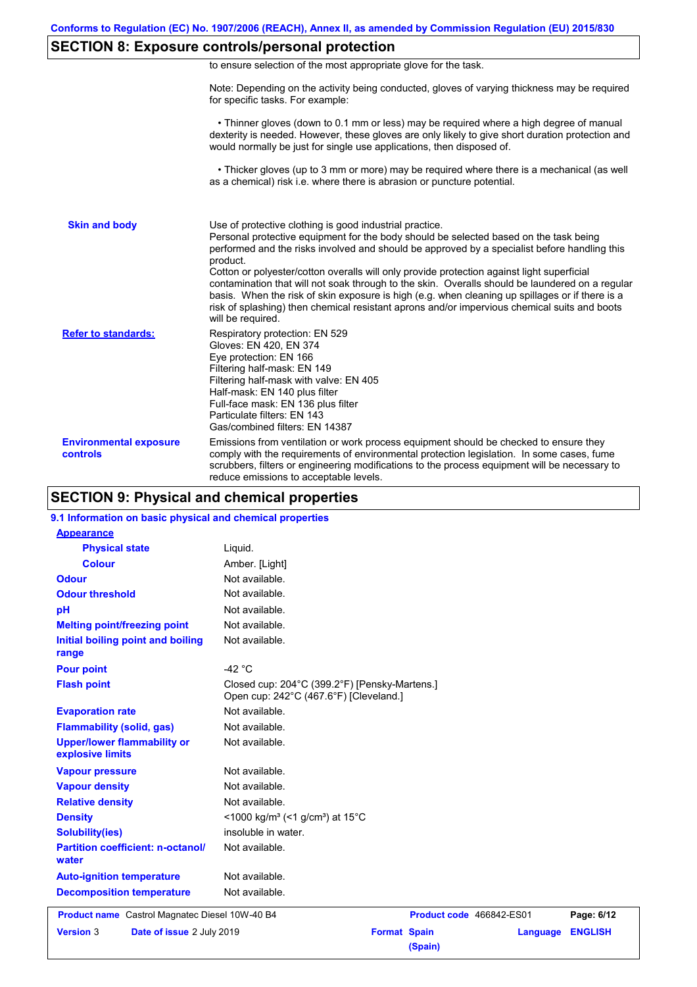## **SECTION 8: Exposure controls/personal protection**

|  | to ensure selection of the most appropriate glove for the task. |  |  |  |  |
|--|-----------------------------------------------------------------|--|--|--|--|
|  |                                                                 |  |  |  |  |

Note: Depending on the activity being conducted, gloves of varying thickness may be required for specific tasks. For example:

 • Thinner gloves (down to 0.1 mm or less) may be required where a high degree of manual dexterity is needed. However, these gloves are only likely to give short duration protection and would normally be just for single use applications, then disposed of.

 • Thicker gloves (up to 3 mm or more) may be required where there is a mechanical (as well as a chemical) risk i.e. where there is abrasion or puncture potential.

| <b>Skin and body</b>                             | Use of protective clothing is good industrial practice.<br>Personal protective equipment for the body should be selected based on the task being<br>performed and the risks involved and should be approved by a specialist before handling this<br>product.<br>Cotton or polyester/cotton overalls will only provide protection against light superficial<br>contamination that will not soak through to the skin. Overalls should be laundered on a regular<br>basis. When the risk of skin exposure is high (e.g. when cleaning up spillages or if there is a<br>risk of splashing) then chemical resistant aprons and/or impervious chemical suits and boots<br>will be required. |
|--------------------------------------------------|---------------------------------------------------------------------------------------------------------------------------------------------------------------------------------------------------------------------------------------------------------------------------------------------------------------------------------------------------------------------------------------------------------------------------------------------------------------------------------------------------------------------------------------------------------------------------------------------------------------------------------------------------------------------------------------|
| <b>Refer to standards:</b>                       | Respiratory protection: EN 529<br>Gloves: EN 420, EN 374<br>Eye protection: EN 166<br>Filtering half-mask: EN 149<br>Filtering half-mask with valve: EN 405<br>Half-mask: EN 140 plus filter<br>Full-face mask: EN 136 plus filter<br>Particulate filters: EN 143<br>Gas/combined filters: EN 14387                                                                                                                                                                                                                                                                                                                                                                                   |
| <b>Environmental exposure</b><br><b>controls</b> | Emissions from ventilation or work process equipment should be checked to ensure they<br>comply with the requirements of environmental protection legislation. In some cases, fume<br>scrubbers, filters or engineering modifications to the process equipment will be necessary to<br>reduce emissions to acceptable levels.                                                                                                                                                                                                                                                                                                                                                         |

## **SECTION 9: Physical and chemical properties**

#### **9.1 Information on basic physical and chemical properties**

| <b>Appearance</b>                                      |                                                                                         |
|--------------------------------------------------------|-----------------------------------------------------------------------------------------|
| <b>Physical state</b>                                  | Liquid.                                                                                 |
| <b>Colour</b>                                          | Amber. [Light]                                                                          |
| <b>Odour</b>                                           | Not available.                                                                          |
| <b>Odour threshold</b>                                 | Not available.                                                                          |
| pH                                                     | Not available.                                                                          |
| <b>Melting point/freezing point</b>                    | Not available.                                                                          |
| Initial boiling point and boiling<br>range             | Not available.                                                                          |
| <b>Pour point</b>                                      | -42 $\degree$ C                                                                         |
| <b>Flash point</b>                                     | Closed cup: 204°C (399.2°F) [Pensky-Martens.]<br>Open cup: 242°C (467.6°F) [Cleveland.] |
| <b>Evaporation rate</b>                                | Not available.                                                                          |
| <b>Flammability (solid, gas)</b>                       | Not available.                                                                          |
| <b>Upper/lower flammability or</b><br>explosive limits | Not available.                                                                          |
| <b>Vapour pressure</b>                                 | Not available.                                                                          |
| <b>Vapour density</b>                                  | Not available.                                                                          |
| <b>Relative density</b>                                | Not available.                                                                          |
| <b>Density</b>                                         | <1000 kg/m <sup>3</sup> (<1 g/cm <sup>3</sup> ) at 15 <sup>°</sup> C                    |
| <b>Solubility(ies)</b>                                 | insoluble in water.                                                                     |
| <b>Partition coefficient: n-octanol/</b><br>water      | Not available.                                                                          |
| <b>Auto-ignition temperature</b>                       | Not available.                                                                          |
| <b>Decomposition temperature</b>                       | Not available.                                                                          |
| <b>Product name</b> Castrol Magnatec Diesel 10W-40 B4  | Product code 466842-ES01<br>Page: 6/12                                                  |
| <b>Version 3</b><br>Date of issue 2 July 2019          | <b>Format Spain</b><br><b>ENGLISH</b><br>Language                                       |
|                                                        | (Spain)                                                                                 |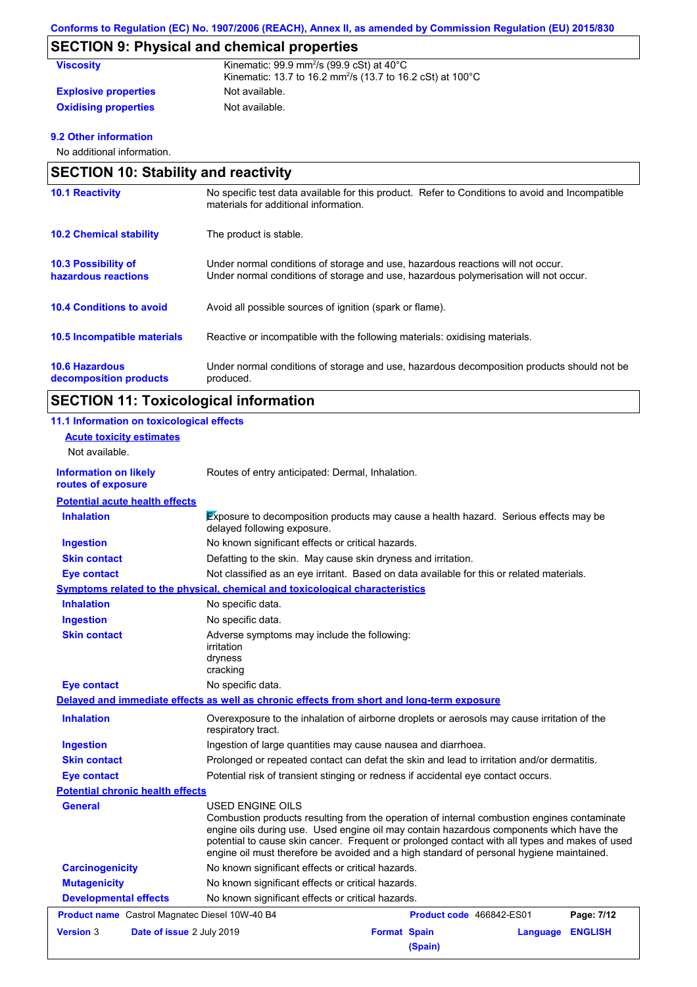# **SECTION 9: Physical and chemical properties**

| <b>Viscosity</b>            | Kinematic: $99.9$ mm <sup>2</sup> /s ( $99.9$ cSt) at $40^{\circ}$ C<br>Kinematic: 13.7 to 16.2 mm <sup>2</sup> /s (13.7 to 16.2 cSt) at 100°C |
|-----------------------------|------------------------------------------------------------------------------------------------------------------------------------------------|
| <b>Explosive properties</b> | Not available.                                                                                                                                 |
| <b>Oxidising properties</b> | Not available.                                                                                                                                 |

#### **9.2 Other information**

No additional information.

| <b>SECTION 10: Stability and reactivity</b>       |                                                                                                                                                                         |  |  |  |
|---------------------------------------------------|-------------------------------------------------------------------------------------------------------------------------------------------------------------------------|--|--|--|
| <b>10.1 Reactivity</b>                            | No specific test data available for this product. Refer to Conditions to avoid and Incompatible<br>materials for additional information.                                |  |  |  |
| <b>10.2 Chemical stability</b>                    | The product is stable.                                                                                                                                                  |  |  |  |
| <b>10.3 Possibility of</b><br>hazardous reactions | Under normal conditions of storage and use, hazardous reactions will not occur.<br>Under normal conditions of storage and use, hazardous polymerisation will not occur. |  |  |  |
| <b>10.4 Conditions to avoid</b>                   | Avoid all possible sources of ignition (spark or flame).                                                                                                                |  |  |  |
| <b>10.5 Incompatible materials</b>                | Reactive or incompatible with the following materials: oxidising materials.                                                                                             |  |  |  |
| <b>10.6 Hazardous</b><br>decomposition products   | Under normal conditions of storage and use, hazardous decomposition products should not be<br>produced.                                                                 |  |  |  |

# **SECTION 11: Toxicological information**

| 11.1 Information on toxicological effects          |                                                                                                                                                                                                                                                                                                                                                                                                          |                                |          |                |
|----------------------------------------------------|----------------------------------------------------------------------------------------------------------------------------------------------------------------------------------------------------------------------------------------------------------------------------------------------------------------------------------------------------------------------------------------------------------|--------------------------------|----------|----------------|
| <b>Acute toxicity estimates</b>                    |                                                                                                                                                                                                                                                                                                                                                                                                          |                                |          |                |
| Not available.                                     |                                                                                                                                                                                                                                                                                                                                                                                                          |                                |          |                |
| <b>Information on likely</b><br>routes of exposure | Routes of entry anticipated: Dermal, Inhalation.                                                                                                                                                                                                                                                                                                                                                         |                                |          |                |
| <b>Potential acute health effects</b>              |                                                                                                                                                                                                                                                                                                                                                                                                          |                                |          |                |
| <b>Inhalation</b>                                  | <b>Exposure to decomposition products may cause a health hazard.</b> Serious effects may be<br>delayed following exposure.                                                                                                                                                                                                                                                                               |                                |          |                |
| <b>Ingestion</b>                                   | No known significant effects or critical hazards.                                                                                                                                                                                                                                                                                                                                                        |                                |          |                |
| <b>Skin contact</b>                                | Defatting to the skin. May cause skin dryness and irritation.                                                                                                                                                                                                                                                                                                                                            |                                |          |                |
| Eye contact                                        | Not classified as an eye irritant. Based on data available for this or related materials.                                                                                                                                                                                                                                                                                                                |                                |          |                |
|                                                    | Symptoms related to the physical, chemical and toxicological characteristics                                                                                                                                                                                                                                                                                                                             |                                |          |                |
| <b>Inhalation</b>                                  | No specific data.                                                                                                                                                                                                                                                                                                                                                                                        |                                |          |                |
| <b>Ingestion</b>                                   | No specific data.                                                                                                                                                                                                                                                                                                                                                                                        |                                |          |                |
| <b>Skin contact</b>                                | Adverse symptoms may include the following:<br>irritation<br>dryness<br>cracking                                                                                                                                                                                                                                                                                                                         |                                |          |                |
| <b>Eye contact</b>                                 | No specific data.                                                                                                                                                                                                                                                                                                                                                                                        |                                |          |                |
|                                                    | Delayed and immediate effects as well as chronic effects from short and long-term exposure                                                                                                                                                                                                                                                                                                               |                                |          |                |
| <b>Inhalation</b>                                  | Overexposure to the inhalation of airborne droplets or aerosols may cause irritation of the<br>respiratory tract.                                                                                                                                                                                                                                                                                        |                                |          |                |
| <b>Ingestion</b>                                   | Ingestion of large quantities may cause nausea and diarrhoea.                                                                                                                                                                                                                                                                                                                                            |                                |          |                |
| <b>Skin contact</b>                                | Prolonged or repeated contact can defat the skin and lead to irritation and/or dermatitis.                                                                                                                                                                                                                                                                                                               |                                |          |                |
| <b>Eye contact</b>                                 | Potential risk of transient stinging or redness if accidental eye contact occurs.                                                                                                                                                                                                                                                                                                                        |                                |          |                |
| <b>Potential chronic health effects</b>            |                                                                                                                                                                                                                                                                                                                                                                                                          |                                |          |                |
| <b>General</b>                                     | USED ENGINE OILS<br>Combustion products resulting from the operation of internal combustion engines contaminate<br>engine oils during use. Used engine oil may contain hazardous components which have the<br>potential to cause skin cancer. Frequent or prolonged contact with all types and makes of used<br>engine oil must therefore be avoided and a high standard of personal hygiene maintained. |                                |          |                |
| <b>Carcinogenicity</b>                             | No known significant effects or critical hazards.                                                                                                                                                                                                                                                                                                                                                        |                                |          |                |
| <b>Mutagenicity</b>                                | No known significant effects or critical hazards.                                                                                                                                                                                                                                                                                                                                                        |                                |          |                |
| <b>Developmental effects</b>                       | No known significant effects or critical hazards.                                                                                                                                                                                                                                                                                                                                                        |                                |          |                |
| Product name Castrol Magnatec Diesel 10W-40 B4     |                                                                                                                                                                                                                                                                                                                                                                                                          | Product code 466842-ES01       |          | Page: 7/12     |
| <b>Version 3</b><br>Date of issue 2 July 2019      |                                                                                                                                                                                                                                                                                                                                                                                                          | <b>Format Spain</b><br>(Spain) | Language | <b>ENGLISH</b> |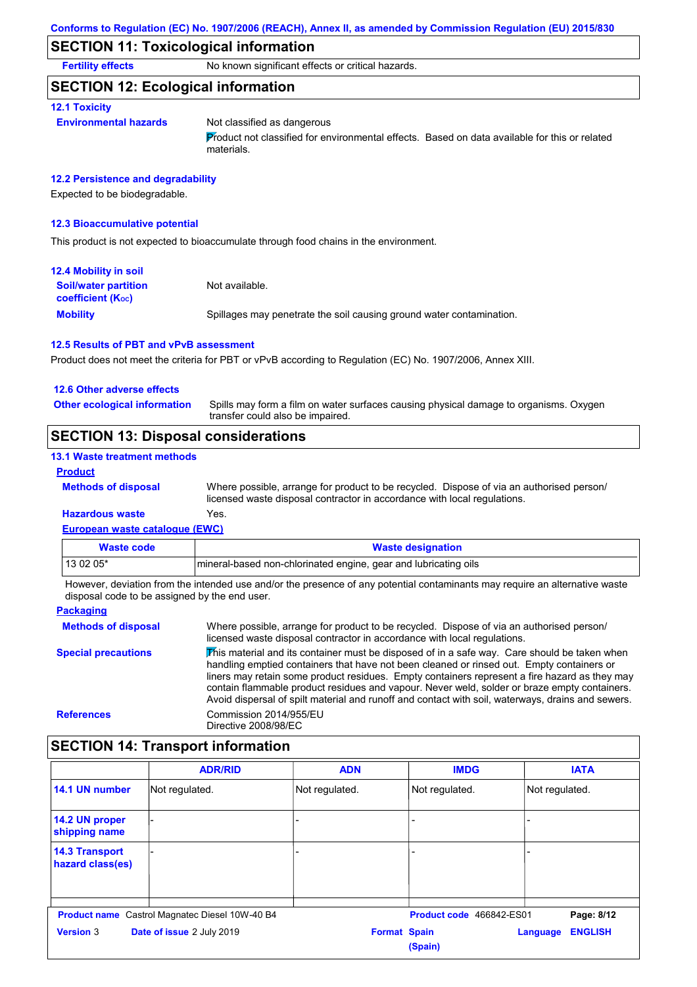## **SECTION 11: Toxicological information**

**Fertility effects** No known significant effects or critical hazards.

### **SECTION 12: Ecological information**

#### **12.1 Toxicity**

#### **Environmental hazards** Not classified as dangerous

Product not classified for environmental effects. Based on data available for this or related materials.

#### **12.2 Persistence and degradability**

Expected to be biodegradable.

#### **12.3 Bioaccumulative potential**

This product is not expected to bioaccumulate through food chains in the environment.

| <b>12.4 Mobility in soil</b>                            |                                                                      |
|---------------------------------------------------------|----------------------------------------------------------------------|
| <b>Soil/water partition</b><br><b>coefficient (Koc)</b> | Not available.                                                       |
| <b>Mobility</b>                                         | Spillages may penetrate the soil causing ground water contamination. |

#### **12.5 Results of PBT and vPvB assessment**

Product does not meet the criteria for PBT or vPvB according to Regulation (EC) No. 1907/2006, Annex XIII.

#### **12.6 Other adverse effects**

Spills may form a film on water surfaces causing physical damage to organisms. Oxygen transfer could also be impaired. **Other ecological information**

## **SECTION 13: Disposal considerations**

#### **13.1 Waste treatment methods**

**Methods of disposal**

#### **Product**

Where possible, arrange for product to be recycled. Dispose of via an authorised person/ licensed waste disposal contractor in accordance with local regulations.

#### **European waste catalogue (EWC) Hazardous waste** Yes.

| Waste code                                                                                                              | <b>Waste designation</b>                                        |  |  |
|-------------------------------------------------------------------------------------------------------------------------|-----------------------------------------------------------------|--|--|
| $130205*$                                                                                                               | mineral-based non-chlorinated engine, gear and lubricating oils |  |  |
| Unuque deviation from the intended use and/or the presence of onunatedial conteminante may require an elternative water |                                                                 |  |  |

**Packaging** However, deviation from the intended use and/or the presence of any potential contaminants may require an alternative waste disposal code to be assigned by the end user.

| Where possible, arrange for product to be recycled. Dispose of via an authorised person/<br>licensed waste disposal contractor in accordance with local regulations.                                                                                                                                                                                                                                                                                                                            |
|-------------------------------------------------------------------------------------------------------------------------------------------------------------------------------------------------------------------------------------------------------------------------------------------------------------------------------------------------------------------------------------------------------------------------------------------------------------------------------------------------|
| This material and its container must be disposed of in a safe way. Care should be taken when<br>handling emptied containers that have not been cleaned or rinsed out. Empty containers or<br>liners may retain some product residues. Empty containers represent a fire hazard as they may<br>contain flammable product residues and vapour. Never weld, solder or braze empty containers.<br>Avoid dispersal of spilt material and runoff and contact with soil, waterways, drains and sewers. |
| Commission 2014/955/EU<br>Directive 2008/98/EC                                                                                                                                                                                                                                                                                                                                                                                                                                                  |
|                                                                                                                                                                                                                                                                                                                                                                                                                                                                                                 |

# **SECTION 14: Transport information**

|                                           | <b>ADR/RID</b>                                        | <b>ADN</b>          | <b>IMDG</b>              | <b>IATA</b>                |
|-------------------------------------------|-------------------------------------------------------|---------------------|--------------------------|----------------------------|
| 14.1 UN number                            | Not regulated.                                        | Not regulated.      | Not regulated.           | Not regulated.             |
| 14.2 UN proper<br>shipping name           |                                                       |                     |                          |                            |
| <b>14.3 Transport</b><br>hazard class(es) |                                                       |                     |                          |                            |
|                                           | <b>Product name</b> Castrol Magnatec Diesel 10W-40 B4 |                     | Product code 466842-ES01 | Page: 8/12                 |
| <b>Version 3</b>                          | Date of issue 2 July 2019                             | <b>Format Spain</b> | (Spain)                  | <b>ENGLISH</b><br>Language |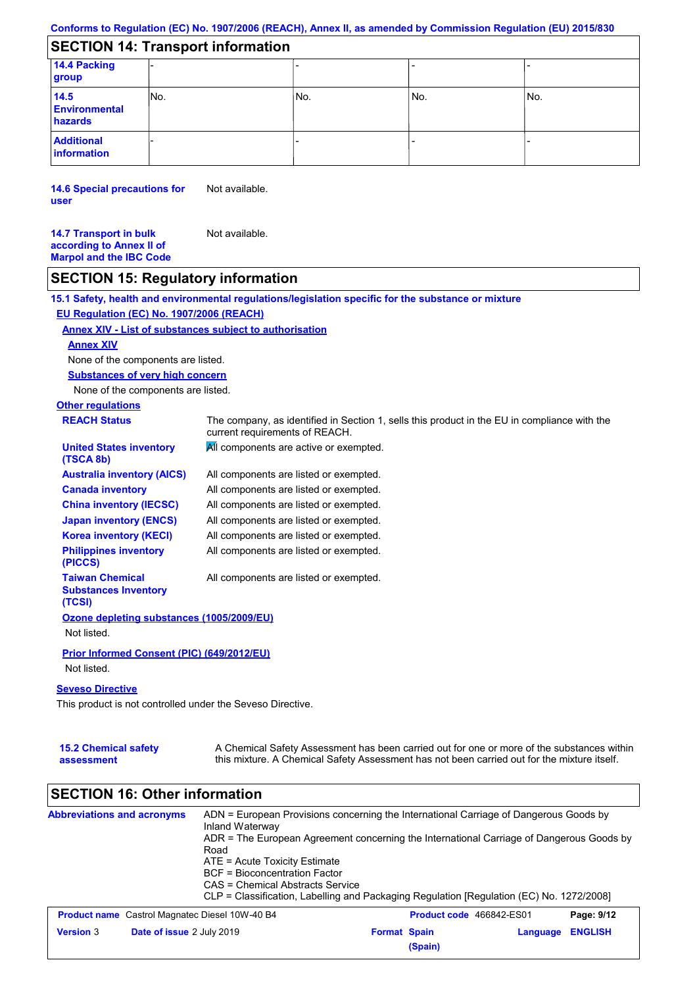## **SECTION 14: Transport information**

| 14.4 Packing<br>group                   |      |     |     |     |
|-----------------------------------------|------|-----|-----|-----|
| 14.5<br><b>Environmental</b><br>hazards | INo. | No. | No. | No. |
| <b>Additional</b><br>information        |      |     |     |     |

**14.6 Special precautions for user** Not available.

**14.7 Transport in bulk according to Annex II of Marpol and the IBC Code** Not available.

## **SECTION 15: Regulatory information**

**15.1 Safety, health and environmental regulations/legislation specific for the substance or mixture**

#### **EU Regulation (EC) No. 1907/2006 (REACH)**

#### **Annex XIV - List of substances subject to authorisation**

#### **Annex XIV**

None of the components are listed.

**Substances of very high concern**

None of the components are listed.

# **Other regulations**

| <b>REACH Status</b>                                             | The company, as identified in Section 1, sells this product in the EU in compliance with the<br>current requirements of REACH. |
|-----------------------------------------------------------------|--------------------------------------------------------------------------------------------------------------------------------|
| <b>United States inventory</b><br>(TSCA 8b)                     | All components are active or exempted.                                                                                         |
| <b>Australia inventory (AICS)</b>                               | All components are listed or exempted.                                                                                         |
| <b>Canada inventory</b>                                         | All components are listed or exempted.                                                                                         |
| <b>China inventory (IECSC)</b>                                  | All components are listed or exempted.                                                                                         |
| <b>Japan inventory (ENCS)</b>                                   | All components are listed or exempted.                                                                                         |
| <b>Korea inventory (KECI)</b>                                   | All components are listed or exempted.                                                                                         |
| <b>Philippines inventory</b><br>(PICCS)                         | All components are listed or exempted.                                                                                         |
| <b>Taiwan Chemical</b><br><b>Substances Inventory</b><br>(TCSI) | All components are listed or exempted.                                                                                         |
| Ozone depleting substances (1005/2009/EU)                       |                                                                                                                                |
| Not listed.                                                     |                                                                                                                                |
| Prior Informed Consent (PIC) (649/2012/EU)                      |                                                                                                                                |
| Not listed.                                                     |                                                                                                                                |

#### **Seveso Directive**

This product is not controlled under the Seveso Directive.

| <b>15.2 Chemical safety</b> | A Chemical Safety Assessment has been carried out for one or more of the substances within  |
|-----------------------------|---------------------------------------------------------------------------------------------|
| assessment                  | this mixture. A Chemical Safety Assessment has not been carried out for the mixture itself. |

## **SECTION 16: Other information**

| <b>Abbreviations and acronyms</b> | Inland Waterway<br>Road<br>ATE = Acute Toxicity Estimate<br><b>BCF</b> = Bioconcentration Factor<br>CAS = Chemical Abstracts Service | ADN = European Provisions concerning the International Carriage of Dangerous Goods by<br>ADR = The European Agreement concerning the International Carriage of Dangerous Goods by<br>CLP = Classification, Labelling and Packaging Regulation [Regulation (EC) No. 1272/2008] |                          |                |
|-----------------------------------|--------------------------------------------------------------------------------------------------------------------------------------|-------------------------------------------------------------------------------------------------------------------------------------------------------------------------------------------------------------------------------------------------------------------------------|--------------------------|----------------|
|                                   | <b>Product name</b> Castrol Magnatec Diesel 10W-40 B4                                                                                |                                                                                                                                                                                                                                                                               | Product code 466842-ES01 | Page: 9/12     |
| <b>Version 3</b>                  | Date of issue 2 July 2019                                                                                                            | <b>Format Spain</b><br>(Spain)                                                                                                                                                                                                                                                | Language                 | <b>ENGLISH</b> |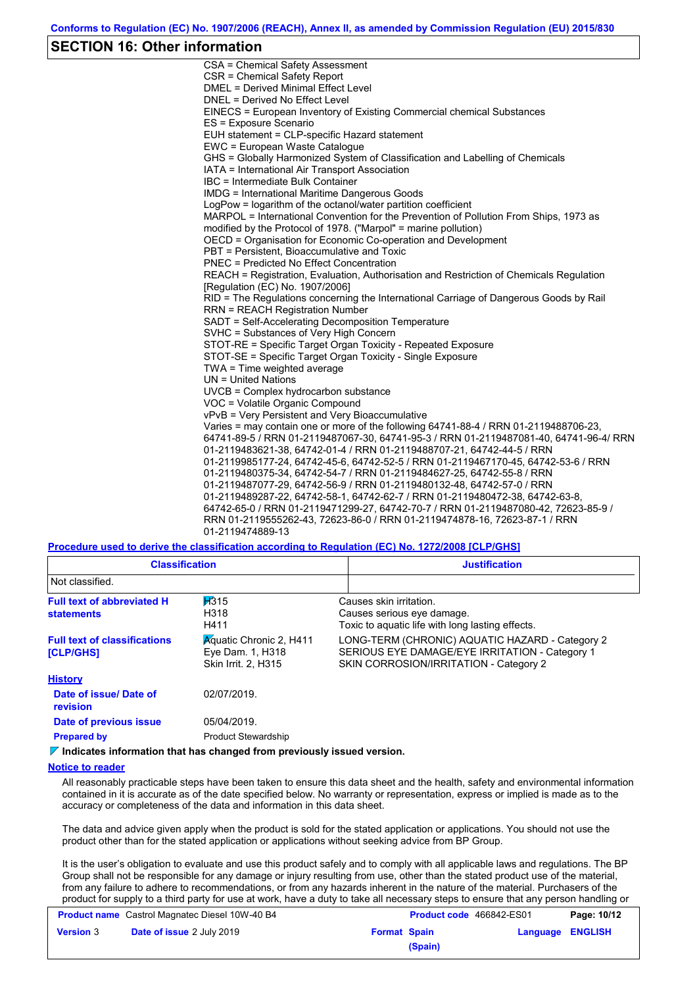### **SECTION 16: Other information**

CSA = Chemical Safety Assessment CSR = Chemical Safety Report DMEL = Derived Minimal Effect Level DNEL = Derived No Effect Level EINECS = European Inventory of Existing Commercial chemical Substances ES = Exposure Scenario EUH statement = CLP-specific Hazard statement EWC = European Waste Catalogue GHS = Globally Harmonized System of Classification and Labelling of Chemicals IATA = International Air Transport Association IBC = Intermediate Bulk Container IMDG = International Maritime Dangerous Goods LogPow = logarithm of the octanol/water partition coefficient MARPOL = International Convention for the Prevention of Pollution From Ships, 1973 as modified by the Protocol of 1978. ("Marpol" = marine pollution) OECD = Organisation for Economic Co-operation and Development PBT = Persistent, Bioaccumulative and Toxic PNEC = Predicted No Effect Concentration REACH = Registration, Evaluation, Authorisation and Restriction of Chemicals Regulation [Regulation (EC) No. 1907/2006] RID = The Regulations concerning the International Carriage of Dangerous Goods by Rail RRN = REACH Registration Number SADT = Self-Accelerating Decomposition Temperature SVHC = Substances of Very High Concern STOT-RE = Specific Target Organ Toxicity - Repeated Exposure STOT-SE = Specific Target Organ Toxicity - Single Exposure TWA = Time weighted average UN = United Nations UVCB = Complex hydrocarbon substance VOC = Volatile Organic Compound vPvB = Very Persistent and Very Bioaccumulative Varies = may contain one or more of the following 64741-88-4 / RRN 01-2119488706-23, 64741-89-5 / RRN 01-2119487067-30, 64741-95-3 / RRN 01-2119487081-40, 64741-96-4/ RRN 01-2119483621-38, 64742-01-4 / RRN 01-2119488707-21, 64742-44-5 / RRN 01-2119985177-24, 64742-45-6, 64742-52-5 / RRN 01-2119467170-45, 64742-53-6 / RRN 01-2119480375-34, 64742-54-7 / RRN 01-2119484627-25, 64742-55-8 / RRN 01-2119487077-29, 64742-56-9 / RRN 01-2119480132-48, 64742-57-0 / RRN 01-2119489287-22, 64742-58-1, 64742-62-7 / RRN 01-2119480472-38, 64742-63-8, 64742-65-0 / RRN 01-2119471299-27, 64742-70-7 / RRN 01-2119487080-42, 72623-85-9 / RRN 01-2119555262-43, 72623-86-0 / RRN 01-2119474878-16, 72623-87-1 / RRN 01-2119474889-13

**Procedure used to derive the classification according to Regulation (EC) No. 1272/2008 [CLP/GHS]**

| <b>Classification</b><br>Not classified.                |                                                                           | <b>Justification</b>                                                                                                                        |
|---------------------------------------------------------|---------------------------------------------------------------------------|---------------------------------------------------------------------------------------------------------------------------------------------|
|                                                         |                                                                           |                                                                                                                                             |
| <b>Full text of abbreviated H</b><br><b>statements</b>  | H315<br>H318<br>H411                                                      | Causes skin irritation.<br>Causes serious eye damage.<br>Toxic to aquatic life with long lasting effects.                                   |
| <b>Full text of classifications</b><br><b>[CLP/GHS]</b> | <b>Aguatic Chronic 2, H411</b><br>Eye Dam. 1, H318<br>Skin Irrit. 2, H315 | LONG-TERM (CHRONIC) AQUATIC HAZARD - Category 2<br>SERIOUS EYE DAMAGE/EYE IRRITATION - Category 1<br>SKIN CORROSION/IRRITATION - Category 2 |
| <b>History</b>                                          |                                                                           |                                                                                                                                             |
| Date of issue/Date of<br>revision                       | 02/07/2019.                                                               |                                                                                                                                             |
| Date of previous issue                                  | 05/04/2019.                                                               |                                                                                                                                             |
| <b>Prepared by</b>                                      | <b>Product Stewardship</b>                                                |                                                                                                                                             |
|                                                         | <u>Viladis stas information that has absorbed from monitoral classes</u>  |                                                                                                                                             |

**Indicates information that has changed from previously issued version.**

#### **Notice to reader**

All reasonably practicable steps have been taken to ensure this data sheet and the health, safety and environmental information contained in it is accurate as of the date specified below. No warranty or representation, express or implied is made as to the accuracy or completeness of the data and information in this data sheet.

The data and advice given apply when the product is sold for the stated application or applications. You should not use the product other than for the stated application or applications without seeking advice from BP Group.

It is the user's obligation to evaluate and use this product safely and to comply with all applicable laws and regulations. The BP Group shall not be responsible for any damage or injury resulting from use, other than the stated product use of the material, from any failure to adhere to recommendations, or from any hazards inherent in the nature of the material. Purchasers of the product for supply to a third party for use at work, have a duty to take all necessary steps to ensure that any person handling or

| <b>Product name</b> Castrol Magnatec Diesel 10W-40 B4 |                                  | Product code 466842-ES01 |         | Page: 10/12 |                  |
|-------------------------------------------------------|----------------------------------|--------------------------|---------|-------------|------------------|
| <b>Version 3</b>                                      | <b>Date of issue 2 July 2019</b> | <b>Format Spain</b>      |         |             | Language ENGLISH |
|                                                       |                                  |                          | (Spain) |             |                  |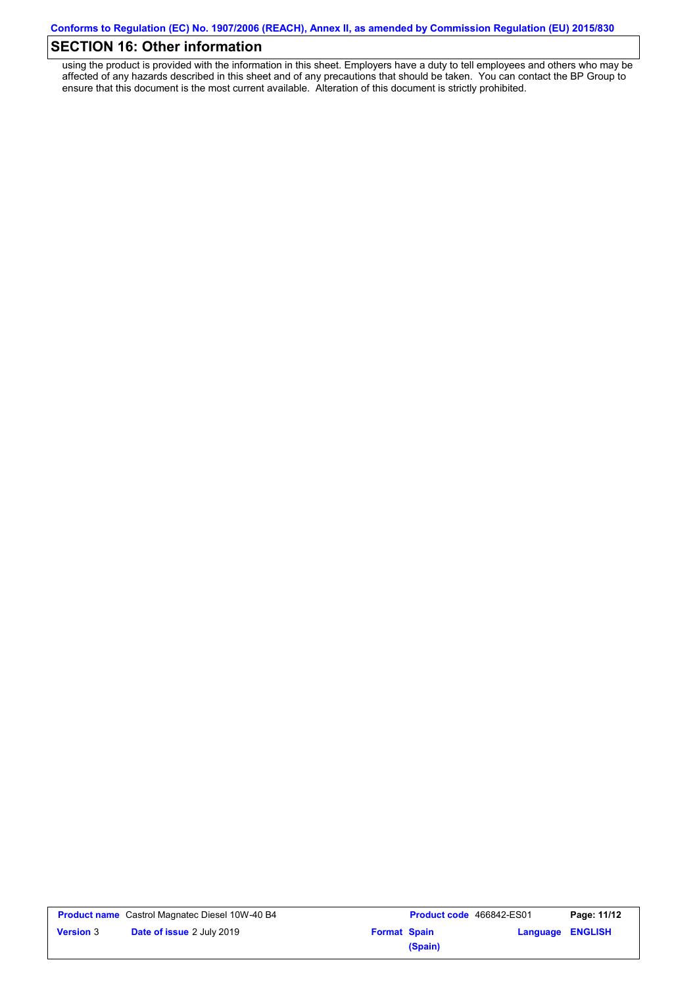## **SECTION 16: Other information**

using the product is provided with the information in this sheet. Employers have a duty to tell employees and others who may be affected of any hazards described in this sheet and of any precautions that should be taken. You can contact the BP Group to ensure that this document is the most current available. Alteration of this document is strictly prohibited.

|                  | <b>Product name</b> Castrol Magnatec Diesel 10W-40 B4 |                     | <b>Product code</b> 466842-ES01 |                         | Page: 11/12 |
|------------------|-------------------------------------------------------|---------------------|---------------------------------|-------------------------|-------------|
| <b>Version 3</b> | <b>Date of issue 2 July 2019</b>                      | <b>Format Spain</b> |                                 | <b>Language ENGLISH</b> |             |
|                  |                                                       |                     | (Spain)                         |                         |             |